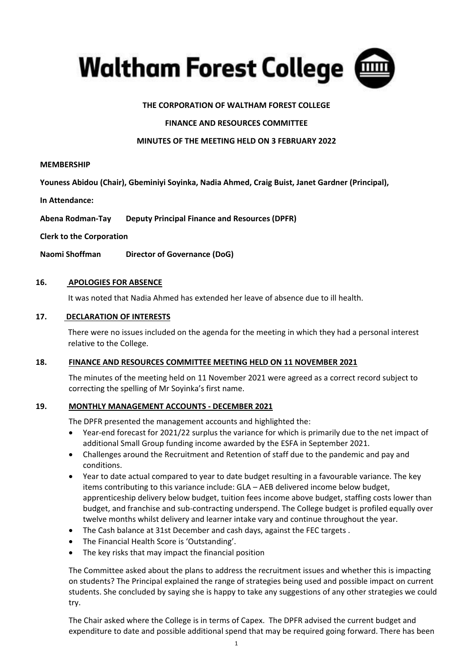

# **THE CORPORATION OF WALTHAM FOREST COLLEGE**

## **FINANCE AND RESOURCES COMMITTEE**

### **MINUTES OF THE MEETING HELD ON 3 FEBRUARY 2022**

#### **MEMBERSHIP**

**Youness Abidou (Chair), Gbeminiyi Soyinka, Nadia Ahmed, Craig Buist, Janet Gardner (Principal),** 

**In Attendance:**

**Abena Rodman-Tay Deputy Principal Finance and Resources (DPFR)** 

**Clerk to the Corporation**

**Naomi Shoffman Director of Governance (DoG)**

## **16. APOLOGIES FOR ABSENCE**

It was noted that Nadia Ahmed has extended her leave of absence due to ill health.

#### **17. DECLARATION OF INTERESTS**

There were no issues included on the agenda for the meeting in which they had a personal interest relative to the College.

#### **18. FINANCE AND RESOURCES COMMITTEE MEETING HELD ON 11 NOVEMBER 2021**

The minutes of the meeting held on 11 November 2021 were agreed as a correct record subject to correcting the spelling of Mr Soyinka's first name.

# **19. MONTHLY MANAGEMENT ACCOUNTS - DECEMBER 2021**

The DPFR presented the management accounts and highlighted the:

- Year-end forecast for 2021/22 surplus the variance for which is primarily due to the net impact of additional Small Group funding income awarded by the ESFA in September 2021.
- Challenges around the Recruitment and Retention of staff due to the pandemic and pay and conditions.
- Year to date actual compared to year to date budget resulting in a favourable variance. The key items contributing to this variance include: GLA – AEB delivered income below budget, apprenticeship delivery below budget, tuition fees income above budget, staffing costs lower than budget, and franchise and sub-contracting underspend. The College budget is profiled equally over twelve months whilst delivery and learner intake vary and continue throughout the year.
- The Cash balance at 31st December and cash days, against the FEC targets .
- The Financial Health Score is 'Outstanding'.
- The key risks that may impact the financial position

The Committee asked about the plans to address the recruitment issues and whether this is impacting on students? The Principal explained the range of strategies being used and possible impact on current students. She concluded by saying she is happy to take any suggestions of any other strategies we could try.

The Chair asked where the College is in terms of Capex. The DPFR advised the current budget and expenditure to date and possible additional spend that may be required going forward. There has been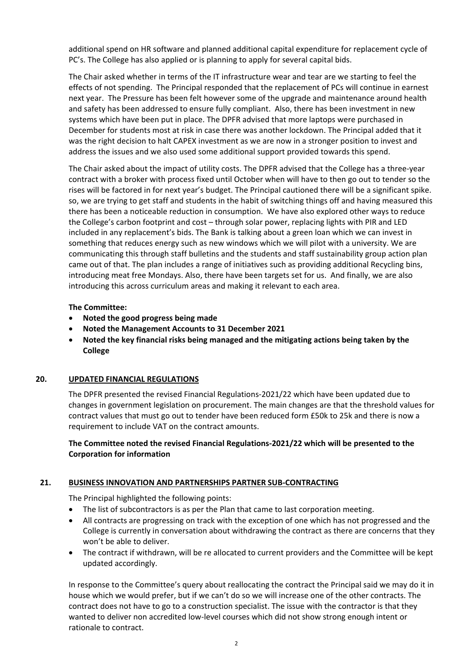additional spend on HR software and planned additional capital expenditure for replacement cycle of PC's. The College has also applied or is planning to apply for several capital bids.

The Chair asked whether in terms of the IT infrastructure wear and tear are we starting to feel the effects of not spending. The Principal responded that the replacement of PCs will continue in earnest next year. The Pressure has been felt however some of the upgrade and maintenance around health and safety has been addressed to ensure fully compliant. Also, there has been investment in new systems which have been put in place. The DPFR advised that more laptops were purchased in December for students most at risk in case there was another lockdown. The Principal added that it was the right decision to halt CAPEX investment as we are now in a stronger position to invest and address the issues and we also used some additional support provided towards this spend.

The Chair asked about the impact of utility costs. The DPFR advised that the College has a three-year contract with a broker with process fixed until October when will have to then go out to tender so the rises will be factored in for next year's budget. The Principal cautioned there will be a significant spike. so, we are trying to get staff and students in the habit of switching things off and having measured this there has been a noticeable reduction in consumption. We have also explored other ways to reduce the College's carbon footprint and cost – through solar power, replacing lights with PIR and LED included in any replacement's bids. The Bank is talking about a green loan which we can invest in something that reduces energy such as new windows which we will pilot with a university. We are communicating this through staff bulletins and the students and staff sustainability group action plan came out of that. The plan includes a range of initiatives such as providing additional Recycling bins, introducing meat free Mondays. Also, there have been targets set for us. And finally, we are also introducing this across curriculum areas and making it relevant to each area.

## **The Committee:**

- **Noted the good progress being made**
- **Noted the Management Accounts to 31 December 2021**
- **Noted the key financial risks being managed and the mitigating actions being taken by the College**

## **20. UPDATED FINANCIAL REGULATIONS**

The DPFR presented the revised Financial Regulations-2021/22 which have been updated due to changes in government legislation on procurement. The main changes are that the threshold values for contract values that must go out to tender have been reduced form £50k to 25k and there is now a requirement to include VAT on the contract amounts.

# **The Committee noted the revised Financial Regulations-2021/22 which will be presented to the Corporation for information**

# **21. BUSINESS INNOVATION AND PARTNERSHIPS PARTNER SUB-CONTRACTING**

The Principal highlighted the following points:

- The list of subcontractors is as per the Plan that came to last corporation meeting.
- All contracts are progressing on track with the exception of one which has not progressed and the College is currently in conversation about withdrawing the contract as there are concerns that they won't be able to deliver.
- The contract if withdrawn, will be re allocated to current providers and the Committee will be kept updated accordingly.

In response to the Committee's query about reallocating the contract the Principal said we may do it in house which we would prefer, but if we can't do so we will increase one of the other contracts. The contract does not have to go to a construction specialist. The issue with the contractor is that they wanted to deliver non accredited low-level courses which did not show strong enough intent or rationale to contract.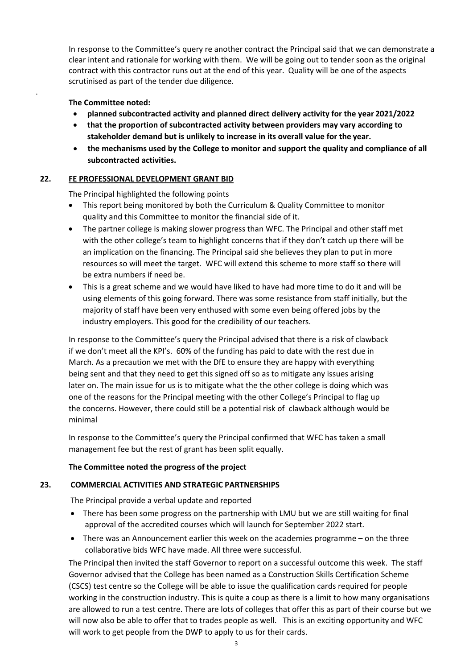In response to the Committee's query re another contract the Principal said that we can demonstrate a clear intent and rationale for working with them. We will be going out to tender soon as the original contract with this contractor runs out at the end of this year. Quality will be one of the aspects scrutinised as part of the tender due diligence.

# **The Committee noted:**

.

- **planned subcontracted activity and planned direct delivery activity for the year 2021/2022**
- **that the proportion of subcontracted activity between providers may vary according to stakeholder demand but is unlikely to increase in its overall value for the year.**
- **the mechanisms used by the College to monitor and support the quality and compliance of all subcontracted activities.**

# **22. FE PROFESSIONAL DEVELOPMENT GRANT BID**

The Principal highlighted the following points

- This report being monitored by both the Curriculum & Quality Committee to monitor quality and this Committee to monitor the financial side of it.
- The partner college is making slower progress than WFC. The Principal and other staff met with the other college's team to highlight concerns that if they don't catch up there will be an implication on the financing. The Principal said she believes they plan to put in more resources so will meet the target. WFC will extend this scheme to more staff so there will be extra numbers if need be.
- This is a great scheme and we would have liked to have had more time to do it and will be using elements of this going forward. There was some resistance from staff initially, but the majority of staff have been very enthused with some even being offered jobs by the industry employers. This good for the credibility of our teachers.

In response to the Committee's query the Principal advised that there is a risk of clawback if we don't meet all the KPI's. 60% of the funding has paid to date with the rest due in March. As a precaution we met with the DfE to ensure they are happy with everything being sent and that they need to get this signed off so as to mitigate any issues arising later on. The main issue for us is to mitigate what the the other college is doing which was one of the reasons for the Principal meeting with the other College's Principal to flag up the concerns. However, there could still be a potential risk of clawback although would be minimal

In response to the Committee's query the Principal confirmed that WFC has taken a small management fee but the rest of grant has been split equally.

## **The Committee noted the progress of the project**

## **23. COMMERCIAL ACTIVITIES AND STRATEGIC PARTNERSHIPS**

The Principal provide a verbal update and reported

- There has been some progress on the partnership with LMU but we are still waiting for final approval of the accredited courses which will launch for September 2022 start.
- There was an Announcement earlier this week on the academies programme on the three collaborative bids WFC have made. All three were successful.

The Principal then invited the staff Governor to report on a successful outcome this week. The staff Governor advised that the College has been named as a Construction Skills Certification Scheme (CSCS) test centre so the College will be able to issue the qualification cards required for people working in the construction industry. This is quite a coup as there is a limit to how many organisations are allowed to run a test centre. There are lots of colleges that offer this as part of their course but we will now also be able to offer that to trades people as well. This is an exciting opportunity and WFC will work to get people from the DWP to apply to us for their cards.